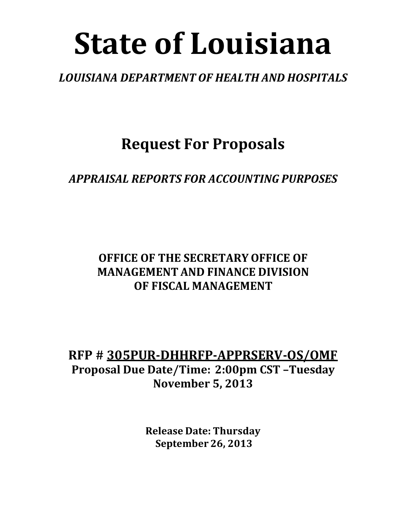# **State of Louisiana**

### *LOUISIANA DEPARTMENT OF HEALTH AND HOSPITALS*

**Request For Proposals**

*APPRAISAL REPORTS FOR ACCOUNTING PURPOSES*

### **OFFICE OF THE SECRETARY OFFICE OF MANAGEMENT AND FINANCE DIVISION OF FISCAL MANAGEMENT**

**RFP # 305PUR-DHHRFP-APPRSERV-OS/OMF Proposal Due Date/Time: 2:00pm CST –Tuesday November 5, 2013**

> **Release Date: Thursday September 26, 2013**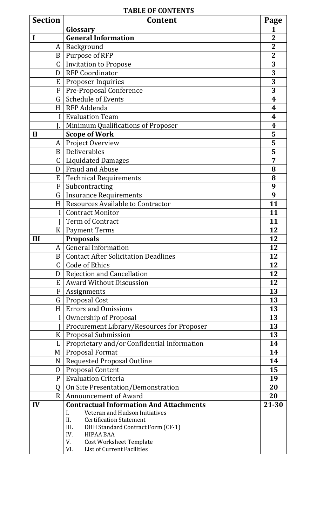#### **TABLE OF CONTENTS**

| Glossary<br><b>General Information</b><br>$\mathbf 2$<br>$\overline{2}$<br>Background<br>A<br>Purpose of RFP<br>$\mathbf 2$<br>$\mathbf{B}$<br><b>Invitation to Propose</b><br>3<br>C<br>3<br><b>RFP Coordinator</b><br>D<br>3<br>Proposer Inquiries<br>E<br>3<br>Pre-Proposal Conference<br>$\mathbf F$<br><b>Schedule of Events</b><br>$\mathsf{G}$<br>4<br>RFP Addenda<br>H <sub>1</sub><br>4<br><b>Evaluation Team</b><br>$\mathbf{I}$<br>4<br>Minimum Qualifications of Proposer<br>4<br><b>Scope of Work</b><br>5<br>$\mathbf{I}$<br>5<br>Project Overview<br>A<br>Deliverables<br>5<br>B<br>$\mathsf C$<br><b>Liquidated Damages</b><br>7<br><b>Fraud and Abuse</b><br>D<br>8<br><b>Technical Requirements</b><br>E<br>8<br>Subcontracting<br>$\boldsymbol{F}$<br>9<br>G<br><b>Insurance Requirements</b><br>9<br>Resources Available to Contractor<br>H<br>11<br><b>Contract Monitor</b><br>11<br>Term of Contract<br>11<br>K <sub>1</sub><br><b>Payment Terms</b><br>12<br>12<br>Ш<br><b>Proposals</b><br><b>General Information</b><br>12<br>A<br><b>Contact After Solicitation Deadlines</b><br>12<br>B<br>Code of Ethics<br>$\mathsf{C}$<br>12<br>12<br><b>Rejection and Cancellation</b><br>D<br><b>Award Without Discussion</b><br>12<br>E<br>13<br>F<br>Assignments<br>G   Proposal Cost<br>13<br><b>Errors and Omissions</b><br>13<br>H<br>13<br><b>Ownership of Proposal</b><br>Procurement Library/Resources for Proposer<br>13<br>13<br><b>Proposal Submission</b><br>$\rm K$<br>Proprietary and/or Confidential Information<br>14<br>$\mathbf{L}$<br>Proposal Format<br>14<br>M<br><b>Requested Proposal Outline</b><br>14<br>N<br><b>Proposal Content</b><br>15<br>$\Omega$<br><b>Evaluation Criteria</b><br>19<br>$\mathbf{P}$<br>20<br>On Site Presentation/Demonstration<br>Q<br><b>Announcement of Award</b><br>20<br>$\mathbf{R}$<br><b>Contractual Information And Attachments</b><br>21-30<br>IV<br>Veteran and Hudson Initiatives<br>I.<br><b>Certification Statement</b><br>II.<br>III.<br>DHH Standard Contract Form (CF-1)<br><b>HIPAA BAA</b><br>IV.<br><b>Cost Worksheet Template</b><br>V. | <b>Section</b> | <b>Content</b>                    | Page |
|-------------------------------------------------------------------------------------------------------------------------------------------------------------------------------------------------------------------------------------------------------------------------------------------------------------------------------------------------------------------------------------------------------------------------------------------------------------------------------------------------------------------------------------------------------------------------------------------------------------------------------------------------------------------------------------------------------------------------------------------------------------------------------------------------------------------------------------------------------------------------------------------------------------------------------------------------------------------------------------------------------------------------------------------------------------------------------------------------------------------------------------------------------------------------------------------------------------------------------------------------------------------------------------------------------------------------------------------------------------------------------------------------------------------------------------------------------------------------------------------------------------------------------------------------------------------------------------------------------------------------------------------------------------------------------------------------------------------------------------------------------------------------------------------------------------------------------------------------------------------------------------------------------------------------------------------------------------------------------------------------------------------------------------------------------------------------------------------------------------------------------|----------------|-----------------------------------|------|
|                                                                                                                                                                                                                                                                                                                                                                                                                                                                                                                                                                                                                                                                                                                                                                                                                                                                                                                                                                                                                                                                                                                                                                                                                                                                                                                                                                                                                                                                                                                                                                                                                                                                                                                                                                                                                                                                                                                                                                                                                                                                                                                               |                |                                   |      |
|                                                                                                                                                                                                                                                                                                                                                                                                                                                                                                                                                                                                                                                                                                                                                                                                                                                                                                                                                                                                                                                                                                                                                                                                                                                                                                                                                                                                                                                                                                                                                                                                                                                                                                                                                                                                                                                                                                                                                                                                                                                                                                                               |                |                                   |      |
|                                                                                                                                                                                                                                                                                                                                                                                                                                                                                                                                                                                                                                                                                                                                                                                                                                                                                                                                                                                                                                                                                                                                                                                                                                                                                                                                                                                                                                                                                                                                                                                                                                                                                                                                                                                                                                                                                                                                                                                                                                                                                                                               |                |                                   |      |
|                                                                                                                                                                                                                                                                                                                                                                                                                                                                                                                                                                                                                                                                                                                                                                                                                                                                                                                                                                                                                                                                                                                                                                                                                                                                                                                                                                                                                                                                                                                                                                                                                                                                                                                                                                                                                                                                                                                                                                                                                                                                                                                               |                |                                   |      |
|                                                                                                                                                                                                                                                                                                                                                                                                                                                                                                                                                                                                                                                                                                                                                                                                                                                                                                                                                                                                                                                                                                                                                                                                                                                                                                                                                                                                                                                                                                                                                                                                                                                                                                                                                                                                                                                                                                                                                                                                                                                                                                                               |                |                                   |      |
|                                                                                                                                                                                                                                                                                                                                                                                                                                                                                                                                                                                                                                                                                                                                                                                                                                                                                                                                                                                                                                                                                                                                                                                                                                                                                                                                                                                                                                                                                                                                                                                                                                                                                                                                                                                                                                                                                                                                                                                                                                                                                                                               |                |                                   |      |
|                                                                                                                                                                                                                                                                                                                                                                                                                                                                                                                                                                                                                                                                                                                                                                                                                                                                                                                                                                                                                                                                                                                                                                                                                                                                                                                                                                                                                                                                                                                                                                                                                                                                                                                                                                                                                                                                                                                                                                                                                                                                                                                               |                |                                   |      |
|                                                                                                                                                                                                                                                                                                                                                                                                                                                                                                                                                                                                                                                                                                                                                                                                                                                                                                                                                                                                                                                                                                                                                                                                                                                                                                                                                                                                                                                                                                                                                                                                                                                                                                                                                                                                                                                                                                                                                                                                                                                                                                                               |                |                                   |      |
|                                                                                                                                                                                                                                                                                                                                                                                                                                                                                                                                                                                                                                                                                                                                                                                                                                                                                                                                                                                                                                                                                                                                                                                                                                                                                                                                                                                                                                                                                                                                                                                                                                                                                                                                                                                                                                                                                                                                                                                                                                                                                                                               |                |                                   |      |
|                                                                                                                                                                                                                                                                                                                                                                                                                                                                                                                                                                                                                                                                                                                                                                                                                                                                                                                                                                                                                                                                                                                                                                                                                                                                                                                                                                                                                                                                                                                                                                                                                                                                                                                                                                                                                                                                                                                                                                                                                                                                                                                               |                |                                   |      |
|                                                                                                                                                                                                                                                                                                                                                                                                                                                                                                                                                                                                                                                                                                                                                                                                                                                                                                                                                                                                                                                                                                                                                                                                                                                                                                                                                                                                                                                                                                                                                                                                                                                                                                                                                                                                                                                                                                                                                                                                                                                                                                                               |                |                                   |      |
|                                                                                                                                                                                                                                                                                                                                                                                                                                                                                                                                                                                                                                                                                                                                                                                                                                                                                                                                                                                                                                                                                                                                                                                                                                                                                                                                                                                                                                                                                                                                                                                                                                                                                                                                                                                                                                                                                                                                                                                                                                                                                                                               |                |                                   |      |
|                                                                                                                                                                                                                                                                                                                                                                                                                                                                                                                                                                                                                                                                                                                                                                                                                                                                                                                                                                                                                                                                                                                                                                                                                                                                                                                                                                                                                                                                                                                                                                                                                                                                                                                                                                                                                                                                                                                                                                                                                                                                                                                               |                |                                   |      |
|                                                                                                                                                                                                                                                                                                                                                                                                                                                                                                                                                                                                                                                                                                                                                                                                                                                                                                                                                                                                                                                                                                                                                                                                                                                                                                                                                                                                                                                                                                                                                                                                                                                                                                                                                                                                                                                                                                                                                                                                                                                                                                                               |                |                                   |      |
|                                                                                                                                                                                                                                                                                                                                                                                                                                                                                                                                                                                                                                                                                                                                                                                                                                                                                                                                                                                                                                                                                                                                                                                                                                                                                                                                                                                                                                                                                                                                                                                                                                                                                                                                                                                                                                                                                                                                                                                                                                                                                                                               |                |                                   |      |
|                                                                                                                                                                                                                                                                                                                                                                                                                                                                                                                                                                                                                                                                                                                                                                                                                                                                                                                                                                                                                                                                                                                                                                                                                                                                                                                                                                                                                                                                                                                                                                                                                                                                                                                                                                                                                                                                                                                                                                                                                                                                                                                               |                |                                   |      |
|                                                                                                                                                                                                                                                                                                                                                                                                                                                                                                                                                                                                                                                                                                                                                                                                                                                                                                                                                                                                                                                                                                                                                                                                                                                                                                                                                                                                                                                                                                                                                                                                                                                                                                                                                                                                                                                                                                                                                                                                                                                                                                                               |                |                                   |      |
|                                                                                                                                                                                                                                                                                                                                                                                                                                                                                                                                                                                                                                                                                                                                                                                                                                                                                                                                                                                                                                                                                                                                                                                                                                                                                                                                                                                                                                                                                                                                                                                                                                                                                                                                                                                                                                                                                                                                                                                                                                                                                                                               |                |                                   |      |
|                                                                                                                                                                                                                                                                                                                                                                                                                                                                                                                                                                                                                                                                                                                                                                                                                                                                                                                                                                                                                                                                                                                                                                                                                                                                                                                                                                                                                                                                                                                                                                                                                                                                                                                                                                                                                                                                                                                                                                                                                                                                                                                               |                |                                   |      |
|                                                                                                                                                                                                                                                                                                                                                                                                                                                                                                                                                                                                                                                                                                                                                                                                                                                                                                                                                                                                                                                                                                                                                                                                                                                                                                                                                                                                                                                                                                                                                                                                                                                                                                                                                                                                                                                                                                                                                                                                                                                                                                                               |                |                                   |      |
|                                                                                                                                                                                                                                                                                                                                                                                                                                                                                                                                                                                                                                                                                                                                                                                                                                                                                                                                                                                                                                                                                                                                                                                                                                                                                                                                                                                                                                                                                                                                                                                                                                                                                                                                                                                                                                                                                                                                                                                                                                                                                                                               |                |                                   |      |
|                                                                                                                                                                                                                                                                                                                                                                                                                                                                                                                                                                                                                                                                                                                                                                                                                                                                                                                                                                                                                                                                                                                                                                                                                                                                                                                                                                                                                                                                                                                                                                                                                                                                                                                                                                                                                                                                                                                                                                                                                                                                                                                               |                |                                   |      |
|                                                                                                                                                                                                                                                                                                                                                                                                                                                                                                                                                                                                                                                                                                                                                                                                                                                                                                                                                                                                                                                                                                                                                                                                                                                                                                                                                                                                                                                                                                                                                                                                                                                                                                                                                                                                                                                                                                                                                                                                                                                                                                                               |                |                                   |      |
|                                                                                                                                                                                                                                                                                                                                                                                                                                                                                                                                                                                                                                                                                                                                                                                                                                                                                                                                                                                                                                                                                                                                                                                                                                                                                                                                                                                                                                                                                                                                                                                                                                                                                                                                                                                                                                                                                                                                                                                                                                                                                                                               |                |                                   |      |
|                                                                                                                                                                                                                                                                                                                                                                                                                                                                                                                                                                                                                                                                                                                                                                                                                                                                                                                                                                                                                                                                                                                                                                                                                                                                                                                                                                                                                                                                                                                                                                                                                                                                                                                                                                                                                                                                                                                                                                                                                                                                                                                               |                |                                   |      |
|                                                                                                                                                                                                                                                                                                                                                                                                                                                                                                                                                                                                                                                                                                                                                                                                                                                                                                                                                                                                                                                                                                                                                                                                                                                                                                                                                                                                                                                                                                                                                                                                                                                                                                                                                                                                                                                                                                                                                                                                                                                                                                                               |                |                                   |      |
|                                                                                                                                                                                                                                                                                                                                                                                                                                                                                                                                                                                                                                                                                                                                                                                                                                                                                                                                                                                                                                                                                                                                                                                                                                                                                                                                                                                                                                                                                                                                                                                                                                                                                                                                                                                                                                                                                                                                                                                                                                                                                                                               |                |                                   |      |
|                                                                                                                                                                                                                                                                                                                                                                                                                                                                                                                                                                                                                                                                                                                                                                                                                                                                                                                                                                                                                                                                                                                                                                                                                                                                                                                                                                                                                                                                                                                                                                                                                                                                                                                                                                                                                                                                                                                                                                                                                                                                                                                               |                |                                   |      |
|                                                                                                                                                                                                                                                                                                                                                                                                                                                                                                                                                                                                                                                                                                                                                                                                                                                                                                                                                                                                                                                                                                                                                                                                                                                                                                                                                                                                                                                                                                                                                                                                                                                                                                                                                                                                                                                                                                                                                                                                                                                                                                                               |                |                                   |      |
|                                                                                                                                                                                                                                                                                                                                                                                                                                                                                                                                                                                                                                                                                                                                                                                                                                                                                                                                                                                                                                                                                                                                                                                                                                                                                                                                                                                                                                                                                                                                                                                                                                                                                                                                                                                                                                                                                                                                                                                                                                                                                                                               |                |                                   |      |
|                                                                                                                                                                                                                                                                                                                                                                                                                                                                                                                                                                                                                                                                                                                                                                                                                                                                                                                                                                                                                                                                                                                                                                                                                                                                                                                                                                                                                                                                                                                                                                                                                                                                                                                                                                                                                                                                                                                                                                                                                                                                                                                               |                |                                   |      |
|                                                                                                                                                                                                                                                                                                                                                                                                                                                                                                                                                                                                                                                                                                                                                                                                                                                                                                                                                                                                                                                                                                                                                                                                                                                                                                                                                                                                                                                                                                                                                                                                                                                                                                                                                                                                                                                                                                                                                                                                                                                                                                                               |                |                                   |      |
|                                                                                                                                                                                                                                                                                                                                                                                                                                                                                                                                                                                                                                                                                                                                                                                                                                                                                                                                                                                                                                                                                                                                                                                                                                                                                                                                                                                                                                                                                                                                                                                                                                                                                                                                                                                                                                                                                                                                                                                                                                                                                                                               |                |                                   |      |
|                                                                                                                                                                                                                                                                                                                                                                                                                                                                                                                                                                                                                                                                                                                                                                                                                                                                                                                                                                                                                                                                                                                                                                                                                                                                                                                                                                                                                                                                                                                                                                                                                                                                                                                                                                                                                                                                                                                                                                                                                                                                                                                               |                |                                   |      |
|                                                                                                                                                                                                                                                                                                                                                                                                                                                                                                                                                                                                                                                                                                                                                                                                                                                                                                                                                                                                                                                                                                                                                                                                                                                                                                                                                                                                                                                                                                                                                                                                                                                                                                                                                                                                                                                                                                                                                                                                                                                                                                                               |                |                                   |      |
|                                                                                                                                                                                                                                                                                                                                                                                                                                                                                                                                                                                                                                                                                                                                                                                                                                                                                                                                                                                                                                                                                                                                                                                                                                                                                                                                                                                                                                                                                                                                                                                                                                                                                                                                                                                                                                                                                                                                                                                                                                                                                                                               |                |                                   |      |
|                                                                                                                                                                                                                                                                                                                                                                                                                                                                                                                                                                                                                                                                                                                                                                                                                                                                                                                                                                                                                                                                                                                                                                                                                                                                                                                                                                                                                                                                                                                                                                                                                                                                                                                                                                                                                                                                                                                                                                                                                                                                                                                               |                |                                   |      |
|                                                                                                                                                                                                                                                                                                                                                                                                                                                                                                                                                                                                                                                                                                                                                                                                                                                                                                                                                                                                                                                                                                                                                                                                                                                                                                                                                                                                                                                                                                                                                                                                                                                                                                                                                                                                                                                                                                                                                                                                                                                                                                                               |                |                                   |      |
|                                                                                                                                                                                                                                                                                                                                                                                                                                                                                                                                                                                                                                                                                                                                                                                                                                                                                                                                                                                                                                                                                                                                                                                                                                                                                                                                                                                                                                                                                                                                                                                                                                                                                                                                                                                                                                                                                                                                                                                                                                                                                                                               |                |                                   |      |
|                                                                                                                                                                                                                                                                                                                                                                                                                                                                                                                                                                                                                                                                                                                                                                                                                                                                                                                                                                                                                                                                                                                                                                                                                                                                                                                                                                                                                                                                                                                                                                                                                                                                                                                                                                                                                                                                                                                                                                                                                                                                                                                               |                |                                   |      |
|                                                                                                                                                                                                                                                                                                                                                                                                                                                                                                                                                                                                                                                                                                                                                                                                                                                                                                                                                                                                                                                                                                                                                                                                                                                                                                                                                                                                                                                                                                                                                                                                                                                                                                                                                                                                                                                                                                                                                                                                                                                                                                                               |                |                                   |      |
|                                                                                                                                                                                                                                                                                                                                                                                                                                                                                                                                                                                                                                                                                                                                                                                                                                                                                                                                                                                                                                                                                                                                                                                                                                                                                                                                                                                                                                                                                                                                                                                                                                                                                                                                                                                                                                                                                                                                                                                                                                                                                                                               |                |                                   |      |
|                                                                                                                                                                                                                                                                                                                                                                                                                                                                                                                                                                                                                                                                                                                                                                                                                                                                                                                                                                                                                                                                                                                                                                                                                                                                                                                                                                                                                                                                                                                                                                                                                                                                                                                                                                                                                                                                                                                                                                                                                                                                                                                               |                |                                   |      |
|                                                                                                                                                                                                                                                                                                                                                                                                                                                                                                                                                                                                                                                                                                                                                                                                                                                                                                                                                                                                                                                                                                                                                                                                                                                                                                                                                                                                                                                                                                                                                                                                                                                                                                                                                                                                                                                                                                                                                                                                                                                                                                                               |                |                                   |      |
|                                                                                                                                                                                                                                                                                                                                                                                                                                                                                                                                                                                                                                                                                                                                                                                                                                                                                                                                                                                                                                                                                                                                                                                                                                                                                                                                                                                                                                                                                                                                                                                                                                                                                                                                                                                                                                                                                                                                                                                                                                                                                                                               |                |                                   |      |
|                                                                                                                                                                                                                                                                                                                                                                                                                                                                                                                                                                                                                                                                                                                                                                                                                                                                                                                                                                                                                                                                                                                                                                                                                                                                                                                                                                                                                                                                                                                                                                                                                                                                                                                                                                                                                                                                                                                                                                                                                                                                                                                               |                |                                   |      |
|                                                                                                                                                                                                                                                                                                                                                                                                                                                                                                                                                                                                                                                                                                                                                                                                                                                                                                                                                                                                                                                                                                                                                                                                                                                                                                                                                                                                                                                                                                                                                                                                                                                                                                                                                                                                                                                                                                                                                                                                                                                                                                                               |                |                                   |      |
|                                                                                                                                                                                                                                                                                                                                                                                                                                                                                                                                                                                                                                                                                                                                                                                                                                                                                                                                                                                                                                                                                                                                                                                                                                                                                                                                                                                                                                                                                                                                                                                                                                                                                                                                                                                                                                                                                                                                                                                                                                                                                                                               |                | VI.<br>List of Current Facilities |      |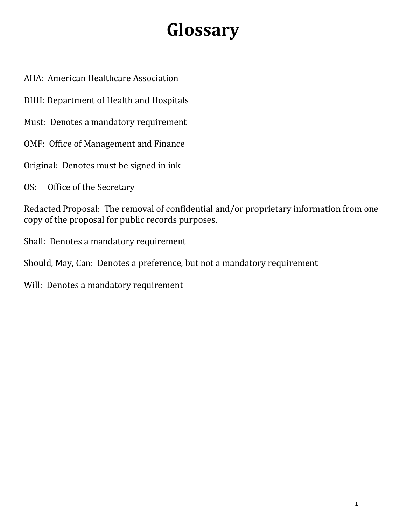## **Glossary**

AHA: American Healthcare Association

DHH: Department of Health and Hospitals

Must: Denotes a mandatory requirement

OMF: Office of Management and Finance

Original: Denotes must be signed in ink

OS: Office of the Secretary

Redacted Proposal: The removal of confidential and/or proprietary information from one copy of the proposal for public records purposes.

Shall: Denotes a mandatory requirement

Should, May, Can: Denotes a preference, but not a mandatory requirement

Will: Denotes a mandatory requirement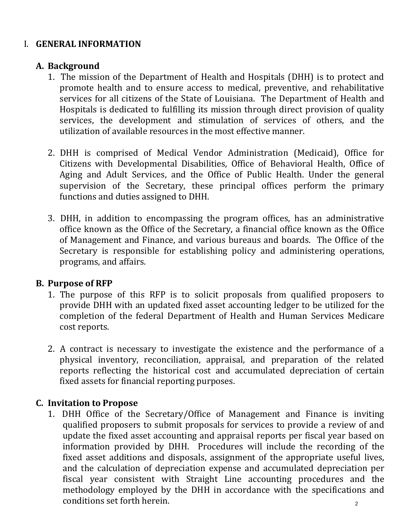#### I. **GENERAL INFORMATION**

#### **A. Background**

- 1. The mission of the Department of Health and Hospitals (DHH) is to protect and promote health and to ensure access to medical, preventive, and rehabilitative services for all citizens of the State of Louisiana. The Department of Health and Hospitals is dedicated to fulfilling its mission through direct provision of quality services, the development and stimulation of services of others, and the utilization of available resources in the most effective manner.
- 2. DHH is comprised of Medical Vendor Administration (Medicaid), Office for Citizens with Developmental Disabilities, Office of Behavioral Health, Office of Aging and Adult Services, and the Office of Public Health. Under the general supervision of the Secretary, these principal offices perform the primary functions and duties assigned to DHH.
- 3. DHH, in addition to encompassing the program offices, has an administrative office known as the Office of the Secretary, a financial office known as the Office of Management and Finance, and various bureaus and boards. The Office of the Secretary is responsible for establishing policy and administering operations, programs, and affairs.

#### **B. Purpose of RFP**

- 1. The purpose of this RFP is to solicit proposals from qualified proposers to provide DHH with an updated fixed asset accounting ledger to be utilized for the completion of the federal Department of Health and Human Services Medicare cost reports.
- 2. A contract is necessary to investigate the existence and the performance of a physical inventory, reconciliation, appraisal, and preparation of the related reports reflecting the historical cost and accumulated depreciation of certain fixed assets for financial reporting purposes.

#### **C. Invitation to Propose**

1. DHH Office of the Secretary/Office of Management and Finance is inviting qualified proposers to submit proposals for services to provide a review of and update the fixed asset accounting and appraisal reports per fiscal year based on information provided by DHH. Procedures will include the recording of the fixed asset additions and disposals, assignment of the appropriate useful lives, and the calculation of depreciation expense and accumulated depreciation per fiscal year consistent with Straight Line accounting procedures and the methodology employed by the DHH in accordance with the specifications and conditions set forth herein.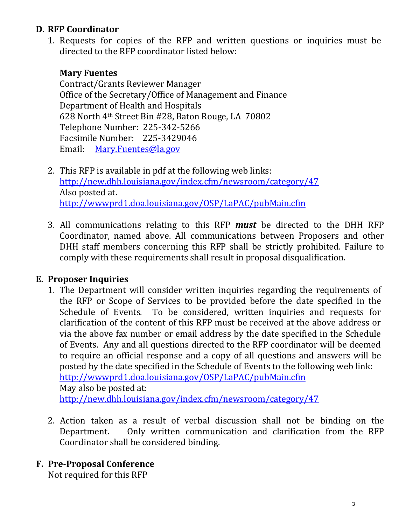#### **D. RFP Coordinator**

1. Requests for copies of the RFP and written questions or inquiries must be directed to the RFP coordinator listed below:

#### **Mary Fuentes**

Contract/Grants Reviewer Manager Office of the Secretary/Office of Management and Finance Department of Health and Hospitals 628 North 4th Street Bin #28, Baton Rouge, LA 70802 Telephone Number: 225-342-5266 Facsimile Number: 225-3429046 Email: [Mary.Fuentes@la.gov](mailto:Thomas.schulze@la.gov)

- 2. This RFP is available in pdf at the following web links: <http://new.dhh.louisiana.gov/index.cfm/newsroom/category/47> Also posted at. <http://wwwprd1.doa.louisiana.gov/OSP/LaPAC/pubMain.cfm>
- 3. All communications relating to this RFP *must* be directed to the DHH RFP Coordinator, named above. All communications between Proposers and other DHH staff members concerning this RFP shall be strictly prohibited. Failure to comply with these requirements shall result in proposal disqualification.

#### **E. Proposer Inquiries**

- 1. The Department will consider written inquiries regarding the requirements of the RFP or Scope of Services to be provided before the date specified in the Schedule of Events. To be considered, written inquiries and requests for To be considered, written inquiries and requests for clarification of the content of this RFP must be received at the above address or via the above fax number or email address by the date specified in the Schedule of Events. Any and all questions directed to the RFP coordinator will be deemed to require an official response and a copy of all questions and answers will be posted by the date specified in the Schedule of Events to the following web link: <http://wwwprd1.doa.louisiana.gov/OSP/LaPAC/pubMain.cfm> May also be posted at: <http://new.dhh.louisiana.gov/index.cfm/newsroom/category/47>
- 2. Action taken as a result of verbal discussion shall not be binding on the Department. Only written communication and clarification from the RFP Only written communication and clarification from the RFP Coordinator shall be considered binding.

#### **F. Pre-Proposal Conference**

Not required for this RFP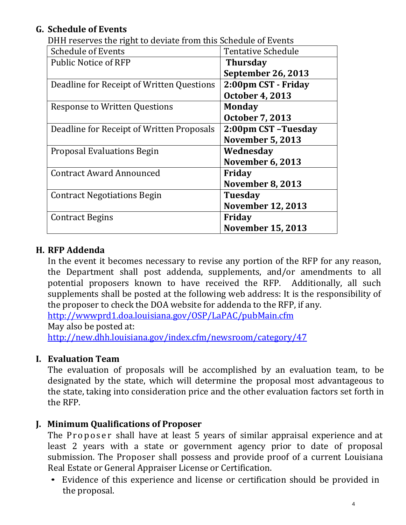#### **G. Schedule of Events**

| Drin reserves the right to deviate from this schedule of Events |                           |
|-----------------------------------------------------------------|---------------------------|
| <b>Schedule of Events</b>                                       | <b>Tentative Schedule</b> |
| <b>Public Notice of RFP</b>                                     | <b>Thursday</b>           |
|                                                                 | <b>September 26, 2013</b> |
| Deadline for Receipt of Written Questions                       | 2:00pm CST - Friday       |
|                                                                 | <b>October 4, 2013</b>    |
| <b>Response to Written Questions</b>                            | <b>Monday</b>             |
|                                                                 | <b>October 7, 2013</b>    |
| Deadline for Receipt of Written Proposals                       | 2:00pm CST-Tuesday        |
|                                                                 | <b>November 5, 2013</b>   |
| Proposal Evaluations Begin                                      | Wednesday                 |
|                                                                 | <b>November 6, 2013</b>   |
| <b>Contract Award Announced</b>                                 | Friday                    |
|                                                                 | <b>November 8, 2013</b>   |
| <b>Contract Negotiations Begin</b>                              | <b>Tuesday</b>            |
|                                                                 | <b>November 12, 2013</b>  |
| <b>Contract Begins</b>                                          | Friday                    |
|                                                                 | <b>November 15, 2013</b>  |

DHH reserves the right to deviate from this Schedule of Events

#### **H. RFP Addenda**

In the event it becomes necessary to revise any portion of the RFP for any reason, the Department shall post addenda, supplements, and/or amendments to all potential proposers known to have received the RFP. Additionally, all such supplements shall be posted at the following web address: It is the responsibility of the proposer to check the DOA website for addenda to the RFP, if any.

<http://wwwprd1.doa.louisiana.gov/OSP/LaPAC/pubMain.cfm> May also be posted at: <http://new.dhh.louisiana.gov/index.cfm/newsroom/category/47>

#### **I. Evaluation Team**

The evaluation of proposals will be accomplished by an evaluation team, to be designated by the state, which will determine the proposal most advantageous to the state, taking into consideration price and the other evaluation factors set forth in the RFP.

#### **J. Minimum Qualifications of Proposer**

The Proposer shall have at least 5 years of similar appraisal experience and at least 2 years with a state or government agency prior to date of proposal submission. The Proposer shall possess and provide proof of a current Louisiana Real Estate or General Appraiser License or Certification.

• Evidence of this experience and license or certification should be provided in the proposal.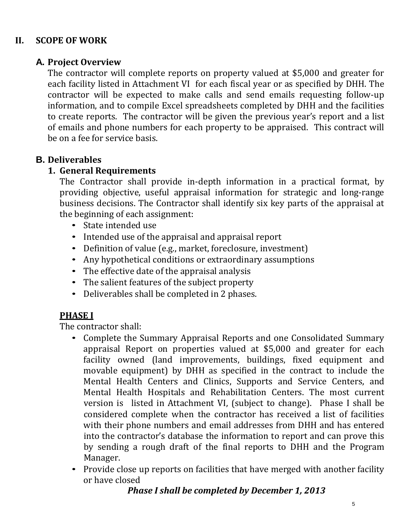#### **II. SCOPE OF WORK**

#### **A. Project Overview**

The contractor will complete reports on property valued at \$5,000 and greater for each facility listed in Attachment VI for each fiscal year or as specified by DHH. The contractor will be expected to make calls and send emails requesting follow-up information, and to compile Excel spreadsheets completed by DHH and the facilities to create reports. The contractor will be given the previous year's report and a list of emails and phone numbers for each property to be appraised. This contract will be on a fee for service basis.

#### **B. Deliverables**

#### **1. General Requirements**

The Contractor shall provide in-depth information in a practical format, by providing objective, useful appraisal information for strategic and long-range business decisions. The Contractor shall identify six key parts of the appraisal at the beginning of each assignment:

- State intended use
- Intended use of the appraisal and appraisal report
- Definition of value (e.g., market, foreclosure, investment)
- Any hypothetical conditions or extraordinary assumptions
- The effective date of the appraisal analysis
- The salient features of the subject property
- Deliverables shall be completed in <sup>2</sup> phases.

#### **PHASE I**

The contractor shall:

- Complete the Summary Appraisal Reports and one Consolidated Summary appraisal Report on properties valued at \$5,000 and greater for each facility owned (land improvements, buildings, fixed equipment and movable equipment) by DHH as specified in the contract to include the Mental Health Centers and Clinics, Supports and Service Centers, and Mental Health Hospitals and Rehabilitation Centers. The most current version is listed in Attachment VI, (subject to change). Phase I shall be considered complete when the contractor has received a list of facilities with their phone numbers and email addresses from DHH and has entered into the contractor's database the information to report and can prove this by sending a rough draft of the final reports to DHH and the Program Manager.
- Provide close up reports on facilities that have merged with another facility or have closed

#### *Phase I shall be completed by December 1, 2013*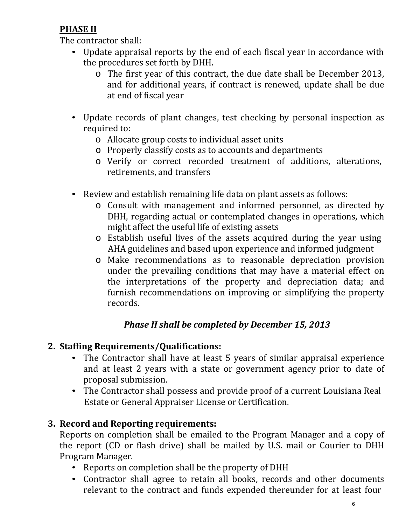#### **PHASE II**

The contractor shall:

- Update appraisal reports by the end of each fiscal year in accordance with the procedures set forth by DHH.
	- o The first year of this contract, the due date shall be December 2013, and for additional years, if contract is renewed, update shall be due at end of fiscal year
- Update records of plant changes, test checking by personal inspection as required to:
	- o Allocate group costs to individual asset units
	- o Properly classify costs as to accounts and departments
	- o Verify or correct recorded treatment of additions, alterations, retirements, and transfers
- Review and establish remaining life data on plant assets as follows:
	- o Consult with management and informed personnel, as directed by DHH, regarding actual or contemplated changes in operations, which might affect the useful life of existing assets
	- o Establish useful lives of the assets acquired during the year using AHA guidelines and based upon experience and informed judgment
	- o Make recommendations as to reasonable depreciation provision under the prevailing conditions that may have a material effect on the interpretations of the property and depreciation data; and furnish recommendations on improving or simplifying the property records.

#### *Phase II shall be completed by December 15, 2013*

#### **2. Staffing Requirements/Qualifications:**

- The Contractor shall have at least <sup>5</sup> years of similar appraisal experience and at least 2 years with a state or government agency prior to date of proposal submission.
- The Contractor shall possess and provide proof of <sup>a</sup> current Louisiana Real Estate or General Appraiser License or Certification.

#### **3. Record and Reporting requirements:**

Reports on completion shall be emailed to the Program Manager and a copy of the report (CD or flash drive) shall be mailed by U.S. mail or Courier to DHH Program Manager.

- Reports on completion shall be the property of DHH
- Contractor shall agree to retain all books, records and other documents relevant to the contract and funds expended thereunder for at least four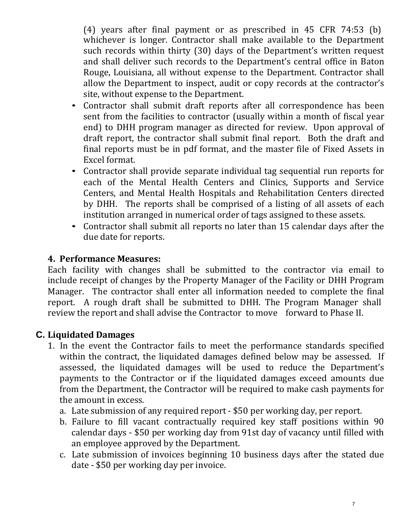(4) years after final payment or as prescribed in 45 CFR 74:53 (b) whichever is longer. Contractor shall make available to the Department such records within thirty (30) days of the Department's written request and shall deliver such records to the Department's central office in Baton Rouge, Louisiana, all without expense to the Department. Contractor shall allow the Department to inspect, audit or copy records at the contractor's site, without expense to the Department.

- Contractor shall submit draft reports after all correspondence has been sent from the facilities to contractor (usually within a month of fiscal year end) to DHH program manager as directed for review. Upon approval of draft report, the contractor shall submit final report. Both the draft and final reports must be in pdf format, and the master file of Fixed Assets in Excel format.
- Contractor shall provide separate individual tag sequential run reports for each of the Mental Health Centers and Clinics, Supports and Service Centers, and Mental Health Hospitals and Rehabilitation Centers directed by DHH. The reports shall be comprised of a listing of all assets of each institution arranged in numerical order of tags assigned to these assets.
- Contractor shall submit all reports no later than <sup>15</sup> calendar days after the due date for reports.

#### **4. Performance Measures:**

Each facility with changes shall be submitted to the contractor via email to include receipt of changes by the Property Manager of the Facility or DHH Program Manager. The contractor shall enter all information needed to complete the final report. A rough draft shall be submitted to DHH. The Program Manager shall review the report and shall advise the Contractor to move forward to Phase II.

#### **C. Liquidated Damages**

- 1. In the event the Contractor fails to meet the performance standards specified within the contract, the liquidated damages defined below may be assessed. If assessed, the liquidated damages will be used to reduce the Department's payments to the Contractor or if the liquidated damages exceed amounts due from the Department, the Contractor will be required to make cash payments for the amount in excess.
	- a. Late submission of any required report \$50 per working day, per report.
	- b. Failure to fill vacant contractually required key staff positions within 90 calendar days - \$50 per working day from 91st day of vacancy until filled with an employee approved by the Department.
	- c. Late submission of invoices beginning 10 business days after the stated due date - \$50 per working day per invoice.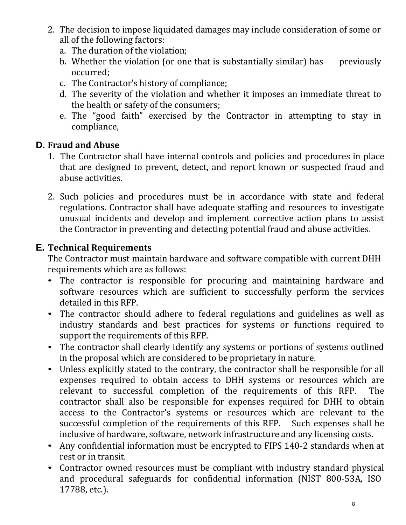- 2. The decision to impose liquidated damages may include consideration of some or all of the following factors:
	- a. The duration of the violation;
	- b. Whether the violation (or one that is substantially similar) has previously occurred;
	- c. The Contractor's history of compliance;
	- d. The severity of the violation and whether it imposes an immediate threat to the health or safety of the consumers;
	- e. The "good faith" exercised by the Contractor in attempting to stay in compliance,

#### **D. Fraud and Abuse**

- 1. The Contractor shall have internal controls and policies and procedures in place that are designed to prevent, detect, and report known or suspected fraud and abuse activities.
- 2. Such policies and procedures must be in accordance with state and federal regulations. Contractor shall have adequate staffing and resources to investigate unusual incidents and develop and implement corrective action plans to assist the Contractor in preventing and detecting potential fraud and abuse activities.

#### **E. Technical Requirements**

The Contractor must maintain hardware and software compatible with current DHH requirements which are as follows:

- The contractor is responsible for procuring and maintaining hardware and software resources which are sufficient to successfully perform the services detailed in this RFP.
- The contractor should adhere to federal regulations and guidelines as well as industry standards and best practices for systems or functions required to support the requirements of this RFP.
- The contractor shall clearly identify any systems or portions of systems outlined in the proposal which are considered to be proprietary in nature.
- Unless explicitly stated to the contrary, the contractor shall be responsible for all expenses required to obtain access to DHH systems or resources which are relevant to successful completion of the requirements of this RFP. The relevant to successful completion of the requirements of this RFP. contractor shall also be responsible for expenses required for DHH to obtain access to the Contractor's systems or resources which are relevant to the successful completion of the requirements of this RFP. Such expenses shall be inclusive of hardware, software, network infrastructure and any licensing costs.
- Any confidential information must be encrypted to FIPS 140-2 standards when at rest or in transit.
- Contractor owned resources must be compliant with industry standard physical and procedural safeguards for confidential information (NIST 800-53A, ISO 17788, etc.).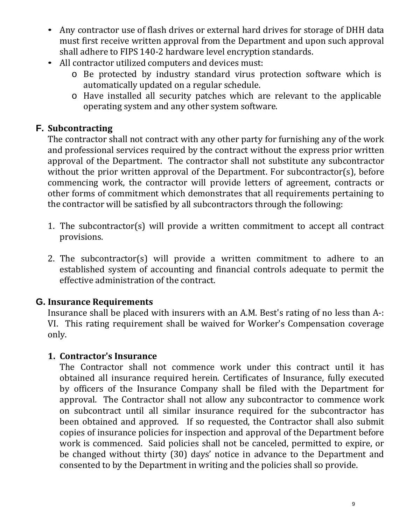- Any contractor use of flash drives or external hard drives for storage of DHH data must first receive written approval from the Department and upon such approval shall adhere to FIPS 140-2 hardware level encryption standards.
- All contractor utilized computers and devices must:
	- o Be protected by industry standard virus protection software which is automatically updated on a regular schedule.
	- o Have installed all security patches which are relevant to the applicable operating system and any other system software.

#### **F. Subcontracting**

The contractor shall not contract with any other party for furnishing any of the work and professional services required by the contract without the express prior written approval of the Department. The contractor shall not substitute any subcontractor without the prior written approval of the Department. For subcontractor(s), before commencing work, the contractor will provide letters of agreement, contracts or other forms of commitment which demonstrates that all requirements pertaining to the contractor will be satisfied by all subcontractors through the following:

- 1. The subcontractor(s) will provide a written commitment to accept all contract provisions.
- 2. The subcontractor(s) will provide a written commitment to adhere to an established system of accounting and financial controls adequate to permit the effective administration of the contract.

#### **G. Insurance Requirements**

Insurance shall be placed with insurers with an A.M. Best's rating of no less than A-: VI. This rating requirement shall be waived for Worker's Compensation coverage only.

#### **1. Contractor's Insurance**

The Contractor shall not commence work under this contract until it has obtained all insurance required herein. Certificates of Insurance, fully executed by officers of the Insurance Company shall be filed with the Department for approval. The Contractor shall not allow any subcontractor to commence work on subcontract until all similar insurance required for the subcontractor has been obtained and approved. If so requested, the Contractor shall also submit copies of insurance policies for inspection and approval of the Department before work is commenced. Said policies shall not be canceled, permitted to expire, or be changed without thirty (30) days' notice in advance to the Department and consented to by the Department in writing and the policies shall so provide.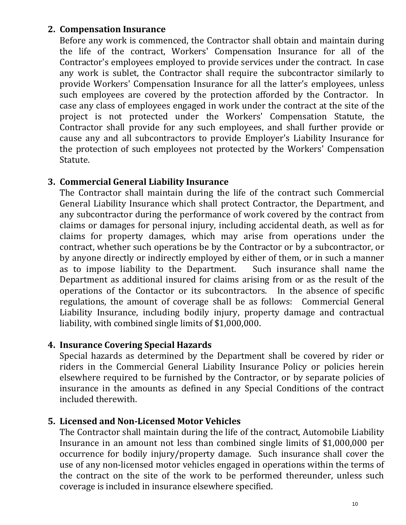#### **2. Compensation Insurance**

Before any work is commenced, the Contractor shall obtain and maintain during the life of the contract, Workers' Compensation Insurance for all of the Contractor's employees employed to provide services under the contract. In case any work is sublet, the Contractor shall require the subcontractor similarly to provide Workers' Compensation Insurance for all the latter's employees, unless such employees are covered by the protection afforded by the Contractor. In case any class of employees engaged in work under the contract at the site of the project is not protected under the Workers' Compensation Statute, the Contractor shall provide for any such employees, and shall further provide or cause any and all subcontractors to provide Employer's Liability Insurance for the protection of such employees not protected by the Workers' Compensation Statute.

#### **3. Commercial General Liability Insurance**

The Contractor shall maintain during the life of the contract such Commercial General Liability Insurance which shall protect Contractor, the Department, and any subcontractor during the performance of work covered by the contract from claims or damages for personal injury, including accidental death, as well as for claims for property damages, which may arise from operations under the contract, whether such operations be by the Contractor or by a subcontractor, or by anyone directly or indirectly employed by either of them, or in such a manner<br>as to impose liability to the Department. Such insurance shall name the as to impose liability to the Department. Department as additional insured for claims arising from or as the result of the operations of the Contactor or its subcontractors. In the absence of specific regulations, the amount of coverage shall be as follows: Commercial General Liability Insurance, including bodily injury, property damage and contractual liability, with combined single limits of \$1,000,000.

#### **4. Insurance Covering Special Hazards**

Special hazards as determined by the Department shall be covered by rider or riders in the Commercial General Liability Insurance Policy or policies herein elsewhere required to be furnished by the Contractor, or by separate policies of insurance in the amounts as defined in any Special Conditions of the contract included therewith.

#### **5. Licensed and Non-Licensed Motor Vehicles**

The Contractor shall maintain during the life of the contract, Automobile Liability Insurance in an amount not less than combined single limits of \$1,000,000 per occurrence for bodily injury/property damage. Such insurance shall cover the use of any non-licensed motor vehicles engaged in operations within the terms of the contract on the site of the work to be performed thereunder, unless such coverage is included in insurance elsewhere specified.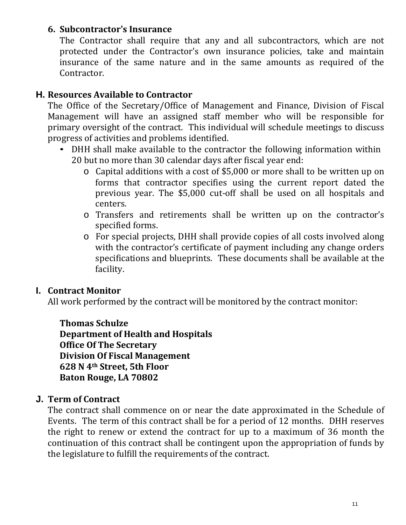#### **6. Subcontractor's Insurance**

The Contractor shall require that any and all subcontractors, which are not protected under the Contractor's own insurance policies, take and maintain insurance of the same nature and in the same amounts as required of the Contractor.

#### **H. Resources Available to Contractor**

The Office of the Secretary/Office of Management and Finance, Division of Fiscal Management will have an assigned staff member who will be responsible for primary oversight of the contract. This individual will schedule meetings to discuss progress of activities and problems identified.

- DHH shall make available to the contractor the following information within 20 but no more than 30 calendar days after fiscal year end:
	- o Capital additions with a cost of \$5,000 or more shall to be written up on forms that contractor specifies using the current report dated the previous year. The \$5,000 cut-off shall be used on all hospitals and centers.
	- o Transfers and retirements shall be written up on the contractor's specified forms.
	- o For special projects, DHH shall provide copies of all costs involved along with the contractor's certificate of payment including any change orders specifications and blueprints. These documents shall be available at the facility.

#### **I. Contract Monitor**

All work performed by the contract will be monitored by the contract monitor:

**Thomas Schulze**

**Department of Health and Hospitals Office Of The Secretary Division Of Fiscal Management 628 N 4th Street, 5th Floor Baton Rouge, LA 70802**

#### **J. Term of Contract**

The contract shall commence on or near the date approximated in the Schedule of Events. The term of this contract shall be for a period of 12 months. DHH reserves the right to renew or extend the contract for up to a maximum of 36 month the continuation of this contract shall be contingent upon the appropriation of funds by the legislature to fulfill the requirements of the contract.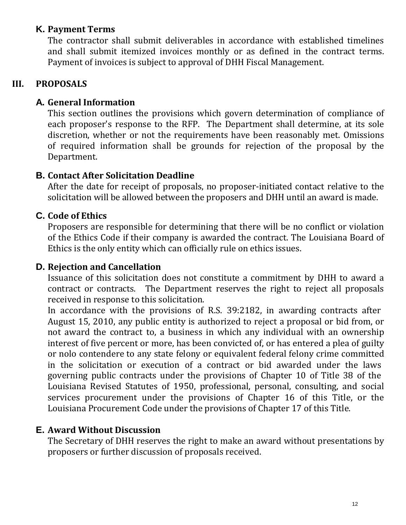#### **K. Payment Terms**

The contractor shall submit deliverables in accordance with established timelines and shall submit itemized invoices monthly or as defined in the contract terms. Payment of invoices is subject to approval of DHH Fiscal Management.

#### **III. PROPOSALS**

#### **A. General Information**

This section outlines the provisions which govern determination of compliance of each proposer's response to the RFP. The Department shall determine, at its sole discretion, whether or not the requirements have been reasonably met. Omissions of required information shall be grounds for rejection of the proposal by the Department.

#### **B. Contact After Solicitation Deadline**

After the date for receipt of proposals, no proposer-initiated contact relative to the solicitation will be allowed between the proposers and DHH until an award is made.

#### **C. Code of Ethics**

Proposers are responsible for determining that there will be no conflict or violation of the Ethics Code if their company is awarded the contract. The Louisiana Board of Ethics is the only entity which can officially rule on ethics issues.

#### **D. Rejection and Cancellation**

Issuance of this solicitation does not constitute a commitment by DHH to award a contract or contracts. The Department reserves the right to reject all proposals received in response to this solicitation.

In accordance with the provisions of R.S. 39:2182, in awarding contracts after August 15, 2010, any public entity is authorized to reject a proposal or bid from, or not award the contract to, a business in which any individual with an ownership interest of five percent or more, has been convicted of, or has entered a plea of guilty or nolo contendere to any state felony or equivalent federal felony crime committed in the solicitation or execution of a contract or bid awarded under the laws governing public contracts under the provisions of Chapter 10 of Title 38 of the Louisiana Revised Statutes of 1950, professional, personal, consulting, and social services procurement under the provisions of Chapter 16 of this Title, or the Louisiana Procurement Code under the provisions of Chapter 17 of this Title.

#### **E. Award Without Discussion**

The Secretary of DHH reserves the right to make an award without presentations by proposers or further discussion of proposals received.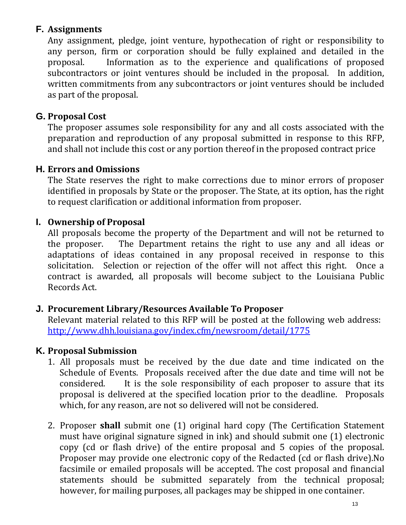#### **F. Assignments**

Any assignment, pledge, joint venture, hypothecation of right or responsibility to any person, firm or corporation should be fully explained and detailed in the proposal. Information as to the experience and qualifications of proposed Information as to the experience and qualifications of proposed subcontractors or joint ventures should be included in the proposal. In addition, written commitments from any subcontractors or joint ventures should be included as part of the proposal.

#### **G. Proposal Cost**

The proposer assumes sole responsibility for any and all costs associated with the preparation and reproduction of any proposal submitted in response to this RFP, and shall not include this cost or any portion thereof in the proposed contract price

#### **H. Errors and Omissions**

The State reserves the right to make corrections due to minor errors of proposer identified in proposals by State or the proposer. The State, at its option, has the right to request clarification or additional information from proposer.

#### **I. Ownership of Proposal**

All proposals become the property of the Department and will not be returned to the proposer. The Department retains the right to use any and all ideas or The Department retains the right to use any and all ideas or adaptations of ideas contained in any proposal received in response to this solicitation. Selection or rejection of the offer will not affect this right. Once a contract is awarded, all proposals will become subject to the Louisiana Public Records Act.

#### **J. Procurement Library/Resources Available To Proposer**

Relevant material related to this RFP will be posted at the following web address: <http://www.dhh.louisiana.gov/index.cfm/newsroom/detail/1775>

#### **K. Proposal Submission**

- 1. All proposals must be received by the due date and time indicated on the Schedule of Events. Proposals received after the due date and time will not be considered. It is the sole responsibility of each proposer to assure that its It is the sole responsibility of each proposer to assure that its proposal is delivered at the specified location prior to the deadline. Proposals which, for any reason, are not so delivered will not be considered.
- 2. Proposer **shall** submit one (1) original hard copy (The Certification Statement must have original signature signed in ink) and should submit one (1) electronic copy (cd or flash drive) of the entire proposal and 5 copies of the proposal. Proposer may provide one electronic copy of the Redacted (cd or flash drive).No facsimile or emailed proposals will be accepted. The cost proposal and financial statements should be submitted separately from the technical proposal; however, for mailing purposes, all packages may be shipped in one container.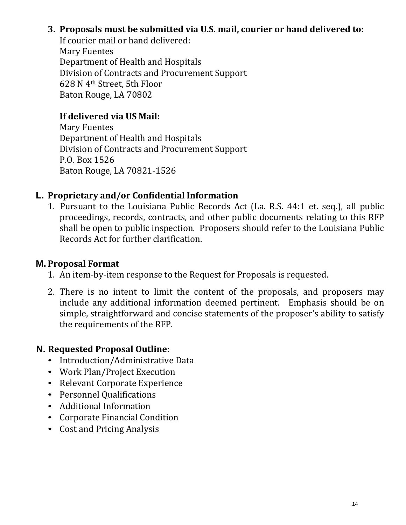#### **3. Proposals must be submitted via U.S. mail, courier or hand delivered to:**

If courier mail or hand delivered: Mary Fuentes Department of Health and Hospitals Division of Contracts and Procurement Support 628 N 4th Street, 5th Floor Baton Rouge, LA 70802

#### **If delivered via US Mail:**

Mary Fuentes Department of Health and Hospitals Division of Contracts and Procurement Support P.O. Box 1526 Baton Rouge, LA 70821-1526

#### **L. Proprietary and/or Confidential Information**

1. Pursuant to the Louisiana Public Records Act (La. R.S. 44:1 et. seq.), all public proceedings, records, contracts, and other public documents relating to this RFP shall be open to public inspection. Proposers should refer to the Louisiana Public Records Act for further clarification.

#### **M. Proposal Format**

- 1. An item-by-item response to the Request for Proposals is requested.
- 2. There is no intent to limit the content of the proposals, and proposers may include any additional information deemed pertinent. Emphasis should be on simple, straightforward and concise statements of the proposer's ability to satisfy the requirements of the RFP.

#### **N. Requested Proposal Outline:**

- Introduction/Administrative Data
- Work Plan/Project Execution
- Relevant Corporate Experience
- Personnel Qualifications
- Additional Information
- Corporate Financial Condition
- Cost and Pricing Analysis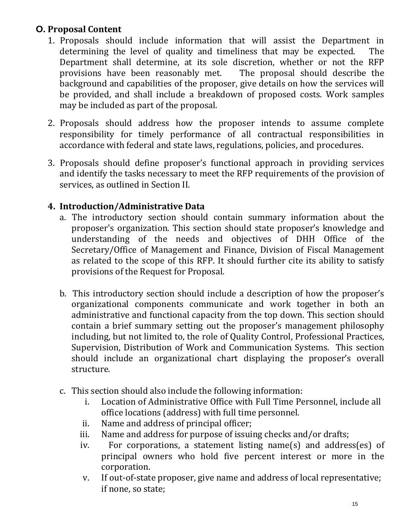#### **O. Proposal Content**

- 1. Proposals should include information that will assist the Department in determining the level of quality and timeliness that may be expected. The determining the level of quality and timeliness that may be expected. Department shall determine, at its sole discretion, whether or not the RFP provisions have been reasonably met. The proposal should describe the provisions have been reasonably met. background and capabilities of the proposer, give details on how the services will be provided, and shall include a breakdown of proposed costs. Work samples may be included as part of the proposal.
- 2. Proposals should address how the proposer intends to assume complete responsibility for timely performance of all contractual responsibilities in accordance with federal and state laws, regulations, policies, and procedures.
- 3. Proposals should define proposer's functional approach in providing services and identify the tasks necessary to meet the RFP requirements of the provision of services, as outlined in Section II.

#### **4. Introduction/Administrative Data**

- a. The introductory section should contain summary information about the proposer's organization. This section should state proposer's knowledge and understanding of the needs and objectives of DHH Office of the Secretary/Office of Management and Finance, Division of Fiscal Management as related to the scope of this RFP. It should further cite its ability to satisfy provisions of the Request for Proposal.
- b. This introductory section should include a description of how the proposer's organizational components communicate and work together in both an administrative and functional capacity from the top down. This section should contain a brief summary setting out the proposer's management philosophy including, but not limited to, the role of Quality Control, Professional Practices, Supervision, Distribution of Work and Communication Systems. This section should include an organizational chart displaying the proposer's overall structure.
- c. This section should also include the following information:
	- Location of Administrative Office with Full Time Personnel, include all office locations (address) with full time personnel.
	- ii. Name and address of principal officer;<br>iii. Name and address for purpose of issui
	- iii. Name and address for purpose of issuing checks and/or drafts;<br>iv. For corporations, a statement listing name(s) and addres
	- For corporations, a statement listing name(s) and address(es) of principal owners who hold five percent interest or more in the corporation.
	- v. If out-of-state proposer, give name and address of local representative; if none, so state;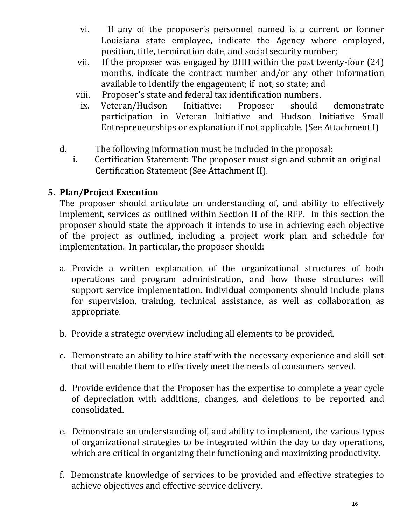- vi. If any of the proposer's personnel named is a current or former Louisiana state employee, indicate the Agency where employed, position, title, termination date, and social security number;
- vii. If the proposer was engaged by DHH within the past twenty-four (24) months, indicate the contract number and/or any other information available to identify the engagement; if not, so state; and
- viii. Proposer's state and federal tax identification numbers.<br>ix. Veteran/Hudson Initiative: Proposer should
- ix. Veteran/Hudson Initiative: Proposer should demonstrate participation in Veteran Initiative and Hudson Initiative Small Entrepreneurships or explanation if not applicable. (See Attachment I)
- d. The following information must be included in the proposal:
	- Certification Statement: The proposer must sign and submit an original Certification Statement (See Attachment II).

#### **5. Plan/Project Execution**

The proposer should articulate an understanding of, and ability to effectively implement, services as outlined within Section II of the RFP. In this section the proposer should state the approach it intends to use in achieving each objective of the project as outlined, including a project work plan and schedule for implementation. In particular, the proposer should:

- a. Provide a written explanation of the organizational structures of both operations and program administration, and how those structures will support service implementation. Individual components should include plans for supervision, training, technical assistance, as well as collaboration as appropriate.
- b. Provide a strategic overview including all elements to be provided.
- c. Demonstrate an ability to hire staff with the necessary experience and skill set that will enable them to effectively meet the needs of consumers served.
- d. Provide evidence that the Proposer has the expertise to complete a year cycle of depreciation with additions, changes, and deletions to be reported and consolidated.
- e. Demonstrate an understanding of, and ability to implement, the various types of organizational strategies to be integrated within the day to day operations, which are critical in organizing their functioning and maximizing productivity.
- f. Demonstrate knowledge of services to be provided and effective strategies to achieve objectives and effective service delivery.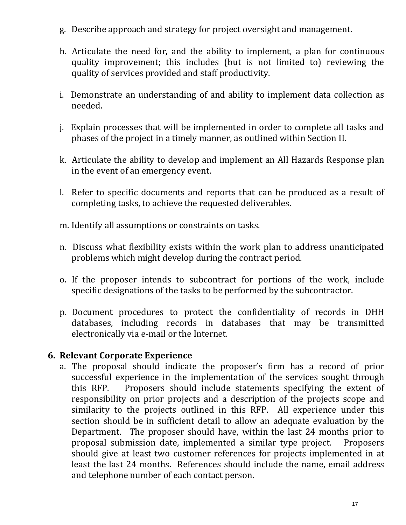- g. Describe approach and strategy for project oversight and management.
- h. Articulate the need for, and the ability to implement, a plan for continuous quality improvement; this includes (but is not limited to) reviewing the quality of services provided and staff productivity.
- i. Demonstrate an understanding of and ability to implement data collection as needed.
- j. Explain processes that will be implemented in order to complete all tasks and phases of the project in a timely manner, as outlined within Section II.
- k. Articulate the ability to develop and implement an All Hazards Response plan in the event of an emergency event.
- l. Refer to specific documents and reports that can be produced as a result of completing tasks, to achieve the requested deliverables.
- m. Identify all assumptions or constraints on tasks.
- n. Discuss what flexibility exists within the work plan to address unanticipated problems which might develop during the contract period.
- o. If the proposer intends to subcontract for portions of the work, include specific designations of the tasks to be performed by the subcontractor.
- p. Document procedures to protect the confidentiality of records in DHH databases, including records in databases that may be transmitted electronically via e-mail or the Internet.

#### **6. Relevant Corporate Experience**

a. The proposal should indicate the proposer's firm has a record of prior successful experience in the implementation of the services sought through<br>this RFP. Proposers should include statements specifying the extent of Proposers should include statements specifying the extent of responsibility on prior projects and a description of the projects scope and similarity to the projects outlined in this RFP. All experience under this section should be in sufficient detail to allow an adequate evaluation by the Department. The proposer should have, within the last 24 months prior to proposal submission date, implemented a similar type project. Proposers proposal submission date, implemented a similar type project. should give at least two customer references for projects implemented in at least the last 24 months. References should include the name, email address and telephone number of each contact person.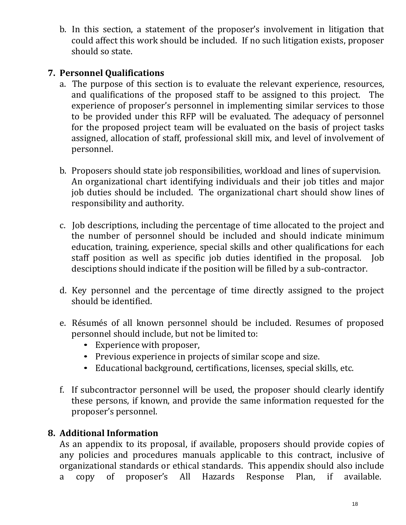b. In this section, a statement of the proposer's involvement in litigation that could affect this work should be included. If no such litigation exists, proposer should so state.

#### **7. Personnel Qualifications**

- a. The purpose of this section is to evaluate the relevant experience, resources, and qualifications of the proposed staff to be assigned to this project. The experience of proposer's personnel in implementing similar services to those to be provided under this RFP will be evaluated. The adequacy of personnel for the proposed project team will be evaluated on the basis of project tasks assigned, allocation of staff, professional skill mix, and level of involvement of personnel.
- b. Proposers should state job responsibilities, workload and lines of supervision. An organizational chart identifying individuals and their job titles and major job duties should be included. The organizational chart should show lines of responsibility and authority.
- c. Job descriptions, including the percentage of time allocated to the project and the number of personnel should be included and should indicate minimum education, training, experience, special skills and other qualifications for each staff position as well as specific job duties identified in the proposal. Job desciptions should indicate if the position will be filled by a sub-contractor.
- d. Key personnel and the percentage of time directly assigned to the project should be identified.
- e. Résumés of all known personnel should be included. Resumes of proposed personnel should include, but not be limited to:
	- Experience with proposer,
	- Previous experience in projects of similar scope and size.
	- Educational background, certifications, licenses, special skills, etc.
- f. If subcontractor personnel will be used, the proposer should clearly identify these persons, if known, and provide the same information requested for the proposer's personnel.

#### **8. Additional Information**

As an appendix to its proposal, if available, proposers should provide copies of any policies and procedures manuals applicable to this contract, inclusive of organizational standards or ethical standards. This appendix should also include<br>a copy of proposer's All Hazards Response Plan, if available. a copy of proposer's All Hazards Response Plan, if available.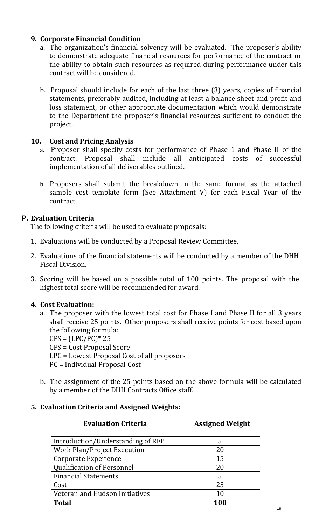#### **9. Corporate Financial Condition**

- a. The organization's financial solvency will be evaluated. The proposer's ability to demonstrate adequate financial resources for performance of the contract or the ability to obtain such resources as required during performance under this contract will be considered.
- b. Proposal should include for each of the last three (3) years, copies of financial statements, preferably audited, including at least a balance sheet and profit and loss statement, or other appropriate documentation which would demonstrate to the Department the proposer's financial resources sufficient to conduct the project.

#### **10. Cost and Pricing Analysis**

- a. Proposer shall specify costs for performance of Phase 1 and Phase II of the contract. Proposal shall include all anticipated costs of successful implementation of all deliverables outlined.
- b. Proposers shall submit the breakdown in the same format as the attached sample cost template form (See Attachment V) for each Fiscal Year of the contract.

#### **P. Evaluation Criteria**

The following criteria will be used to evaluate proposals:

- 1. Evaluations will be conducted by a Proposal Review Committee.
- 2. Evaluations of the financial statements will be conducted by a member of the DHH Fiscal Division.
- 3. Scoring will be based on a possible total of 100 points. The proposal with the highest total score will be recommended for award.

#### **4. Cost Evaluation:**

- a. The proposer with the lowest total cost for Phase I and Phase II for all 3 years shall receive 25 points. Other proposers shall receive points for cost based upon the following formula:
	- $CPS = (LPC/PC)^* 25$
	- CPS = Cost Proposal Score
	- LPC = Lowest Proposal Cost of all proposers
	- PC = Individual Proposal Cost
- b. The assignment of the 25 points based on the above formula will be calculated by a member of the DHH Contracts Office staff.

#### **5. Evaluation Criteria and Assigned Weights:**

| <b>Evaluation Criteria</b>        | <b>Assigned Weight</b> |
|-----------------------------------|------------------------|
| Introduction/Understanding of RFP | 5                      |
| Work Plan/Project Execution       | 20                     |
| Corporate Experience              | 15                     |
| <b>Qualification of Personnel</b> | 20                     |
| <b>Financial Statements</b>       | 5                      |
| Cost                              | 25                     |
| Veteran and Hudson Initiatives    | 10                     |
| <b>Total</b>                      | 100                    |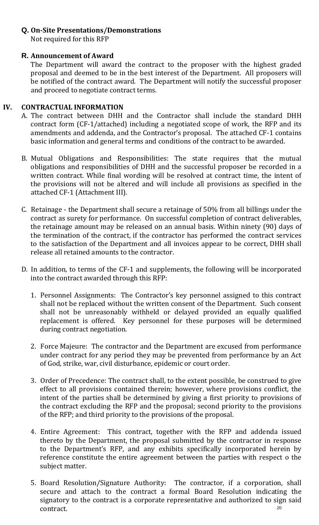#### **Q. On-Site Presentations/Demonstrations**

Not required for this RFP

#### **R. Announcement of Award**

The Department will award the contract to the proposer with the highest graded proposal and deemed to be in the best interest of the Department. All proposers will be notified of the contract award. The Department will notify the successful proposer and proceed to negotiate contract terms.

#### **IV. CONTRACTUAL INFORMATION**

- A. The contract between DHH and the Contractor shall include the standard DHH contract form (CF-1/attached) including a negotiated scope of work, the RFP and its amendments and addenda, and the Contractor's proposal. The attached CF-1 contains basic information and general terms and conditions of the contract to be awarded.
- B. Mutual Obligations and Responsibilities: The state requires that the mutual obligations and responsibilities of DHH and the successful proposer be recorded in a written contract. While final wording will be resolved at contract time, the intent of the provisions will not be altered and will include all provisions as specified in the attached CF-1 (Attachment III).
- C. Retainage the Department shall secure a retainage of 50% from all billings under the contract as surety for performance. On successful completion of contract deliverables, the retainage amount may be released on an annual basis. Within ninety (90) days of the termination of the contract, if the contractor has performed the contract services to the satisfaction of the Department and all invoices appear to be correct, DHH shall release all retained amounts to the contractor.
- D. In addition, to terms of the CF-1 and supplements, the following will be incorporated into the contract awarded through this RFP:
	- 1. Personnel Assignments: The Contractor's key personnel assigned to this contract shall not be replaced without the written consent of the Department. Such consent shall not be unreasonably withheld or delayed provided an equally qualified replacement is offered. Key personnel for these purposes will be determined during contract negotiation.
	- 2. Force Majeure: The contractor and the Department are excused from performance under contract for any period they may be prevented from performance by an Act of God, strike, war, civil disturbance, epidemic or court order.
	- 3. Order of Precedence: The contract shall, to the extent possible, be construed to give effect to all provisions contained therein; however, where provisions conflict, the intent of the parties shall be determined by giving a first priority to provisions of the contract excluding the RFP and the proposal; second priority to the provisions of the RFP; and third priority to the provisions of the proposal.
	- 4. Entire Agreement: This contract, together with the RFP and addenda issued thereto by the Department, the proposal submitted by the contractor in response to the Department's RFP, and any exhibits specifically incorporated herein by reference constitute the entire agreement between the parties with respect o the subject matter.
	- 5. Board Resolution/Signature Authority: The contractor, if a corporation, shall secure and attach to the contract a formal Board Resolution indicating the signatory to the contract is a corporate representative and authorized to sign said contract. contract. 20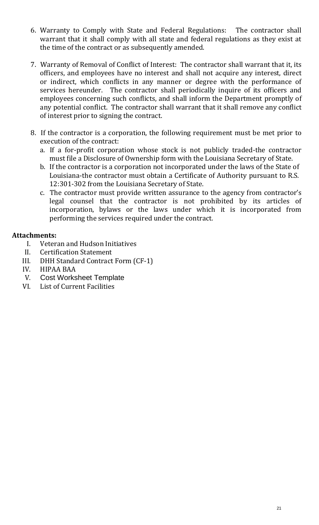- 6. Warranty to Comply with State and Federal Regulations: The contractor shall warrant that it shall comply with all state and federal regulations as they exist at the time of the contract or as subsequently amended.
- 7. Warranty of Removal of Conflict of Interest: The contractor shall warrant that it, its officers, and employees have no interest and shall not acquire any interest, direct or indirect, which conflicts in any manner or degree with the performance of services hereunder. The contractor shall periodically inquire of its officers and employees concerning such conflicts, and shall inform the Department promptly of any potential conflict. The contractor shall warrant that it shall remove any conflict of interest prior to signing the contract.
- 8. If the contractor is a corporation, the following requirement must be met prior to execution of the contract:
	- a. If a for-profit corporation whose stock is not publicly traded-the contractor must file a Disclosure of Ownership form with the Louisiana Secretary of State.
	- b. If the contractor is a corporation not incorporated under the laws of the State of Louisiana-the contractor must obtain a Certificate of Authority pursuant to R.S. 12:301-302 from the Louisiana Secretary of State.
	- c. The contractor must provide written assurance to the agency from contractor's legal counsel that the contractor is not prohibited by its articles of incorporation, bylaws or the laws under which it is incorporated from performing the services required under the contract.

#### **Attachments:**

- I. Veteran and Hudson Initiatives<br>II. Certification Statement
- II. Certification Statement<br>III. DHH Standard Contract
- III. DHH Standard Contract Form (CF-1)<br>IV. HIPAA BAA
- IV. HIPAA BAA
- V. Cost Worksheet Template<br>VI. List of Current Facilities
- List of Current Facilities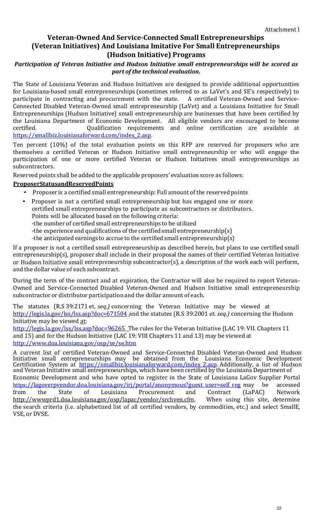#### **Veteran-Owned And Service-Connected Small Entrepreneurships (Veteran Initiatives) And Louisiana Imitative For Small Entrepreneurships (Hudson Initiative) Programs**

#### *Participation of Veteran Initiative and Hudson Initiative small entrepreneurships will be scored as part of the technical evaluation.*

The State of Louisiana Veteran and Hudson Initiatives are designed to provide additional opportunities for Louisiana-based small entrepreneurships (sometimes referred to as LaVet's and SE's respectively) to participate in contracting and procurement with the state. Connected Disabled Veteran-Owned small entrepreneurship (LaVet) and a Louisiana Initiative for Small Entrepreneurships (Hudson Initiative) small entrepreneurship are businesses that have been certified by the Louisiana Department of Economic Development. All eligible vendors are encouraged to become<br>certified. 0ualification requirements and online certification are available at Qualification requirements and online certification are [https://smallbiz.louisianaforward.com/index\\_2.asp.](https://smallbiz.louisianaforward.com/index_2.asp)

Ten percent (10%) of the total evaluation points on this RFP are reserved for proposers who are themselves a certified Veteran or Hudson Initiative small entrepreneurship or who will engage the participation of one or more certified Veteran or Hudson Initiatives small entrepreneurships as subcontractors.

Reserved points shall be added to the applicable proposers' evaluation score as follows:

#### **ProposerStatusandReservedPoints**

- Proposer is a certified small entrepreneurship: Full amount of the reserved points
- Proposer is not <sup>a</sup> certified small entrepreneurship but has engaged one or more certified small entrepreneurships to participate as subcontractors or distributors. Points will be allocated based on the following criteria:
	- -the number of certified small entrepreneurships to be utilized
	- -the experience and qualifications of the certified small entrepreneurship(s)
	- -the anticipated earnings to accrue to the certified small entrepreneurship(s)

If a proposer is not a certified small entrepreneurship as described herein, but plans to use certified small entrepreneurship(s), proposer shall include in their proposal the names of their certified Veteran Initiative or Hudson Initiative small entrepreneurship subcontractor(s), a description of the work each will perform, and the dollar value of each subcontract.

During the term of the contract and at expiration, the Contractor will also be required to report Veteran-Owned and Service-Connected Disabled Veteran-Owned and Hudson Initiative small entrepreneurship subcontractoror distributor participation and the dollar amount of each.

The statutes (R.S 39:2171 et*. seq.)* concerning the Veteran Initiative may be viewed at <http://legis.la.gov/lss/lss.asp?doc=671504> and the statutes (R.S 39:2001 *et. seq.)* concerning the Hudson Initiative may be viewed at:

[http://legis.la.gov/lss/lss.asp?doc=96265](http://legis.la.gov/lss/lss.asp?doc=96265%20) The rules for the Veteran Initiative (LAC 19: VII. Chapters 11 and 15) and for the Hudson Initiative (LAC 19: VIII Chapters 11 and 13) may be viewed at <http://www.doa.louisiana.gov/osp/se/se.htm>

A current list of certified Veteran-Owned and Service-Connected Disabled Veteran-Owned and Hudson Initiative small entrepreneurships may be obtained from the Louisiana Economic Development Certification System at [https://smallbiz.louisianaforward.com/index\\_2.asp.](https://smallbiz.louisianaforward.com/index_2.asp) Additionally, a list of Hudson and Veteran Initiative small entrepreneurships, which have been certified by the Louisiana Department of Economic Development and who have opted to register in the State of Louisiana LaGov Supplier Portal<br>https://lagoverpvendor.doa.louisiana.gov/irj/portal/anonymous?guest user=self reg may be accessed [https://lagoverpvendor.doa.louisiana.gov/irj/portal/anonymous?guest\\_user=self\\_reg](https://lagoverpvendor.doa.louisiana.gov/irj/portal/anonymous?guest_user=self_reg) may be accessed<br>from the State of Louisiana Procurement and Contract (LaPAC) Network from the State of Louisiana Procurement and Contract (LaPAC) Network [http://wwwprd1.doa.louisiana.gov/osp/lapac/vendor/srchven.cfm. W](http://wwwprd1.doa.louisiana.gov/osp/lapac/Vendor/srchven.cfm)hen using this site, determine the search criteria (i.e. alphabetized list of all certified vendors, by commodities, etc.) and select SmallE, VSE, or DVSE.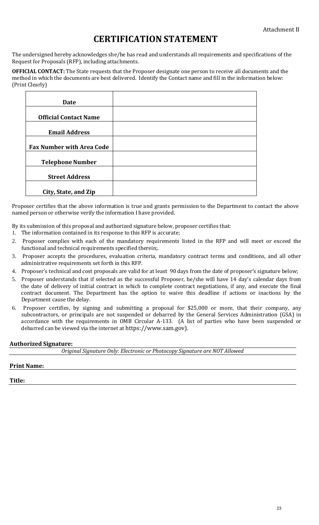### **CERTIFICATION STATEMENT**

The undersigned hereby acknowledges she/he has read and understands all requirements and specifications of the Request for Proposals (RFP), including attachments.

**OFFICIAL CONTACT:** The State requests that the Proposer designate one person to receive all documents and the method in which the documents are best delivered. Identify the Contact name and fill in the information below: (Print Clearly)

| <b>Date</b>                      |  |
|----------------------------------|--|
|                                  |  |
| <b>Official Contact Name</b>     |  |
|                                  |  |
| <b>Email Address</b>             |  |
|                                  |  |
| <b>Fax Number with Area Code</b> |  |
|                                  |  |
| <b>Telephone Number</b>          |  |
|                                  |  |
| <b>Street Address</b>            |  |
|                                  |  |
| City, State, and Zip             |  |

Proposer certifies that the above information is true and grants permission to the Department to contact the above named person or otherwise verify the information I have provided.

By its submission of this proposal and authorized signature below, proposer certifies that:

- 1. The information contained in its response to this RFP is accurate;
- 2. Proposer complies with each of the mandatory requirements listed in the RFP and will meet or exceed the functional and technical requirements specified therein;.
- 3. Proposer accepts the procedures, evaluation criteria, mandatory contract terms and conditions, and all other administrative requirements set forth in this RFP.
- 4. Proposer's technical and cost proposals are valid for at least 90 days from the date of proposer's signature below;
- 5. Proposer understands that if selected as the successful Proposer, he/she will have 14 day's calendar days from the date of delivery of initial contract in which to complete contract negotiations, if any, and execute the final contract document. The Department has the option to waive this deadline if actions or inactions by the Department cause the delay.
- 6. Proposer certifies, by signing and submitting a proposal for \$25,000 or more, that their company, any subcontractors, or principals are not suspended or debarred by the General Services Administration (GSA) in accordance with the requirements in OMB Circular A-133. (A list of parties who have been suspended or debarred can be viewed via the internet at https://www.sam.gov).

#### **Authorized Signature:**

| Original Signature Only: Electronic or Photocopy Signature are NOT Allowed |  |
|----------------------------------------------------------------------------|--|
|----------------------------------------------------------------------------|--|

#### **Print Name:**

**Title:**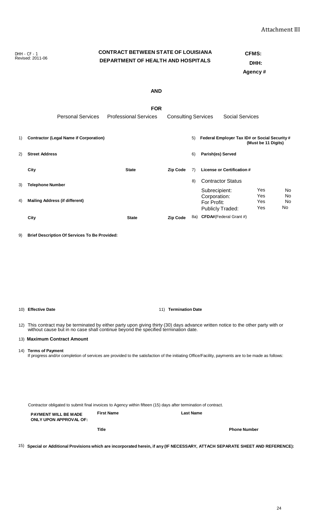24

Revised: 2011-06 **DEPARTMENT OF HEALTH AND HOSPITALS DHH:**

**Agency #**

|    | <b>Personal Services</b>                             | <b>Professional Services</b> | <b>Consulting Services</b> |    | <b>Social Services</b>                                           |                          |                      |
|----|------------------------------------------------------|------------------------------|----------------------------|----|------------------------------------------------------------------|--------------------------|----------------------|
| 1) | <b>Contractor (Legal Name if Corporation)</b>        |                              |                            | 5) | Federal Employer Tax ID# or Social Security #                    | (Must be 11 Digits)      |                      |
| 2) | <b>Street Address</b>                                |                              |                            | 6) | Parish(es) Served                                                |                          |                      |
|    | City                                                 | <b>State</b>                 | <b>Zip Code</b>            | 7) | <b>License or Certification #</b>                                |                          |                      |
| 3) | <b>Telephone Number</b>                              |                              |                            | 8) | <b>Contractor Status</b>                                         |                          |                      |
| 4) | <b>Mailing Address (if different)</b>                |                              |                            |    | Subrecipient:<br>Corporation:<br>For Profit:<br>Publicly Traded: | Yes<br>Yes<br>Yes<br>Yes | No<br>No<br>No<br>No |
|    | City                                                 | <b>State</b>                 | <b>Zip Code</b>            |    | 8a) CFDA#(Federal Grant #)                                       |                          |                      |
| 9) | <b>Brief Description Of Services To Be Provided:</b> |                              |                            |    |                                                                  |                          |                      |
|    |                                                      |                              |                            |    |                                                                  |                          |                      |
|    |                                                      |                              |                            |    |                                                                  |                          |                      |
|    |                                                      |                              |                            |    |                                                                  |                          |                      |
|    |                                                      |                              |                            |    |                                                                  |                          |                      |
|    | 10) Effective Date                                   |                              | 11) Termination Date       |    |                                                                  |                          |                      |
|    |                                                      |                              |                            |    |                                                                  |                          |                      |

12) This contract may be terminated by either party upon giving thirty (30) days advance written notice to the other party with or without cause but in no case shall continue beyond the specified termination date.

#### 13) **Maximum Contract Amount**

14) **Terms of Payment**

If progress and/or completion of services are provided to the satisfaction of the initiating Office/Facility, payments are to be made as follows:

Contractor obligated to submit final invoices to Agency within fifteen (15) days after termination of contract.

**PAYMENT WILL BE MADE ONLY UPON APPROVAL OF: First Name Last Name Title Phone Number**

15) Special or Additional Provisions which are incorporated herein, if any (IF NECESSARY, ATTACH SEPARATE SHEET AND REFERENCE):

## DHH - CF - 1 **CONTRACT BETWEEN STATE OF LOUISIANA CFMS:**<br>
Revised: 2011-06 **CONTRACT BETWEENT OF HEALTH AND HOSPITALS**

### **FOR**

**AND**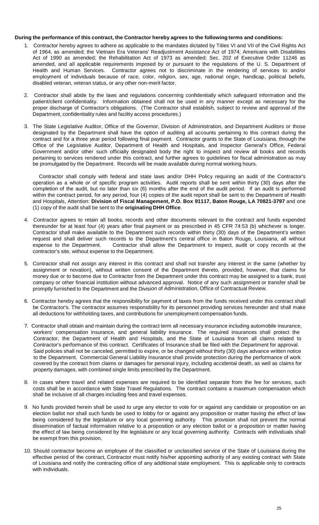#### **During the performance of this contract, the Contractor hereby agrees to the following terms and conditions:**

- 1. Contractor hereby agrees to adhere as applicable to the mandates dictated by Titles VI and VII of the Civil Rights Act of 1964, as amended; the Vietnam Era Veterans' Readjustment Assistance Act of 1974; Americans with Disabilities Act of 1990 as amended; the Rehabilitation Act of 1973 as amended; Sec. 202 of Executive Order 11246 as amended, and all applicable requirements imposed by or pursuant to the regulations of the U. S. Department of Health and Human Services. Contractor agrees not to discriminate in the rendering of services to and/or employment of individuals because of race, color, religion, sex, age, national origin, handicap, political beliefs, disabled veteran, veteran status, or any other non-merit factor.
- 2. Contractor shall abide by the laws and regulations concerning confidentially which safeguard information and the patient/client confidentiality. Information obtained shall not be used in any manner except as necessary for the proper discharge of Contractor's obligations. (The Contractor shall establish, subject to review and approval of the Department, confidentiality rules and facility access procedures.)
- 3. The State Legislative Auditor, Office of the Governor, Division of Administration, and Department Auditors or those designated by the Department shall have the option of auditing all accounts pertaining to this contract during the contract and for a three year period following final payment. Contractor grants to the State of Louisiana, through the Office of the Legislative Auditor, Department of Health and Hospitals, and Inspector General's Office, Federal Government and/or other such officially designated body the right to inspect and review all books and records pertaining to services rendered under this contract, and further agrees to guidelines for fiscal administration as may be promulgated by the Department. Records will be made available during normal working hours.

Contractor shall comply with federal and state laws and/or DHH Policy requiring an audit of the Contractor's operation as a whole or of specific program activities. Audit reports shall be sent within thirty (30) days after the completion of the audit, but no later than six (6) months after the end of the audit period. If an audit is performed within the contract period, for any period, four (4) copies of the audit report shall be sent to the Department of Health and Hospitals, Attention: **Division of Fiscal Management, P.O. Box 91117, Baton Rouge, LA 70821-3797** and one (1) copy of the audit shall be sent to the **originating DHH Office**.

- 4. Contractor agrees to retain all books, records and other documents relevant to the contract and funds expended thereunder for at least four (4) years after final payment or as prescribed in 45 CFR 74:53 (b) whichever is longer. Contractor shall make available to the Department such records within thirty (30) days of the Department's written request and shall deliver such records to the Department's central office in Baton Rouge, Louisiana, all without<br>expense to the Department. Contractor shall allow the Department to inspect, audit or copy records at the Contractor shall allow the Department to inspect, audit or copy records at the contractor's site, without expense to the Department.
- 5. Contractor shall not assign any interest in this contract and shall not transfer any interest in the same (whether by assignment or novation), without written consent of the Department thereto, provided, however, that claims for money due or to become due to Contractor from the Department under this contract may be assigned to a bank, trust company or other financial institution without advanced approval. Notice of any such assignment or transfer shall be promptly furnished to the Department and the Division of Administration, Office of Contractual Review.
- 6. Contractor hereby agrees that the responsibility for payment of taxes from the funds received under this contract shall be Contractor's. The contractor assumes responsibility for its personnel providing services hereunder and shall make all deductions for withholding taxes, and contributions for unemployment compensation funds.
- 7. Contractor shall obtain and maintain during the contract term all necessary insurance including automobile insurance, workers' compensation insurance, and general liability insurance. The required insurances shall protect the Contractor, the Department of Health and Hospitals, and the State of Louisiana from all claims related to Contractor's performance of this contract. Certificates of Insurance shall be filed with the Department for approval. Said policies shall not be canceled, permitted to expire, or be changed without thirty (30) days advance written notice to the Department. Commercial General Liability Insurance shall provide protection during the performance of work covered by the contract from claims or damages for personal injury, including accidental death, as well as claims for property damages, with combined single limits prescribed by the Department.
- 8. In cases where travel and related expenses are required to be identified separate from the fee for services, such costs shall be in accordance with State Travel Regulations. The contract contains a maximum compensation which shall be inclusive of all charges including fees and travel expenses.
- 9. No funds provided herein shall be used to urge any elector to vote for or against any candidate or proposition on an election ballot nor shall such funds be used to lobby for or against any proposition or matter having the effect of law being considered by the legislature or any local governing authority. This provision shall not prevent the normal dissemination of factual information relative to a proposition or any election ballot or a proposition or matter having the effect of law being considered by the legislature or any local governing authority. Contracts with individuals shall be exempt from this provision.
- 10. Should contractor become an employee of the classified or unclassified service of the State of Louisiana during the effective period of the contract, Contractor must notify his/her appointing authority of any existing contract with State of Louisiana and notify the contracting office of any additional state employment. This is applicable only to contracts with individuals.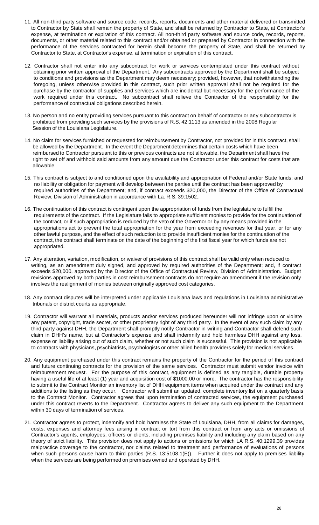- 11. All non-third party software and source code, records, reports, documents and other material delivered or transmitted to Contractor by State shall remain the property of State, and shall be returned by Contractor to State, at Contractor's expense, at termination or expiration of this contract. All non-third party software and source code, records, reports, documents, or other material related to this contract and/or obtained or prepared by Contractor in connection with the performance of the services contracted for herein shall become the property of State, and shall be returned by Contractor to State, at Contractor's expense, at termination or expiration of this contract.
- 12. Contractor shall not enter into any subcontract for work or services contemplated under this contract without obtaining prior written approval of the Department. Any subcontracts approved by the Department shall be subject to conditions and provisions as the Department may deem necessary; provided, however, that notwithstanding the foregoing, unless otherwise provided in this contract, such prior written approval shall not be required for the purchase by the contractor of supplies and services which are incidental but necessary for the performance of the work required under this contract. No subcontract shall relieve the Contractor of the responsibility for the performance of contractual obligations described herein.
- 13. No person and no entity providing services pursuant to this contract on behalf of contractor or any subcontractor is prohibited from providing such services by the provisions of R.S. 42:1113 as amended in the 2008 Regular Session of the Louisiana Legislature.
- 14. No claim for services furnished or requested for reimbursement by Contractor, not provided for in this contract, shall be allowed by the Department. In the event the Department determines that certain costs which have been reimbursed to Contractor pursuant to this or previous contracts are not allowable, the Department shall have the right to set off and withhold said amounts from any amount due the Contractor under this contract for costs that are allowable.
- 15. This contract is subject to and conditioned upon the availability and appropriation of Federal and/or State funds; and no liability or obligation for payment will develop between the parties until the contract has been approved by required authorities of the Department; and, if contract exceeds \$20,000, the Director of the Office of Contractual Review, Division of Administration in accordance with La. R.S. 39:1502..
- 16. The continuation of this contract is contingent upon the appropriation of funds from the legislature to fulfill the requirements of the contract. If the Legislature fails to appropriate sufficient monies to provide for the continuation of the contract, or if such appropriation is reduced by the veto of the Governor or by any means provided in the appropriations act to prevent the total appropriation for the year from exceeding revenues for that year, or for any other lawful purpose, and the effect of such reduction is to provide insufficient monies for the continuation of the contract, the contract shall terminate on the date of the beginning of the first fiscal year for which funds are not appropriated.
- 17. Any alteration, variation, modification, or waiver of provisions of this contract shall be valid only when reduced to writing, as an amendment duly signed, and approved by required authorities of the Department; and, if contract exceeds \$20,000, approved by the Director of the Office of Contractual Review, Division of Administration. Budget revisions approved by both parties in cost reimbursement contracts do not require an amendment if the revision only involves the realignment of monies between originally approved cost categories.
- 18. Any contract disputes will be interpreted under applicable Louisiana laws and regulations in Louisiana administrative tribunals or district courts as appropriate.
- 19. Contractor will warrant all materials, products and/or services produced hereunder will not infringe upon or violate any patent, copyright, trade secret, or other proprietary right of any third party. In the event of any such claim by any third party against DHH, the Department shall promptly notify Contractor in writing and Contractor shall defend such claim in DHH's name, but at Contractor's expense and shall indemnify and hold harmless DHH against any loss, expense or liability arising out of such claim, whether or not such claim is successful. This provision is not applicable to contracts with physicians, psychiatrists, psychologists or other allied health providers solely for medical services.
- 20. Any equipment purchased under this contract remains the property of the Contractor for the period of this contract and future continuing contracts for the provision of the same services. Contractor must submit vendor invoice with reimbursement request. For the purpose of this contract, equipment is defined as any tangible, durable property having a useful life of at least (1) year and acquisition cost of \$1000.00 or more. The contractor has the responsibility to submit to the Contract Monitor an inventory list of DHH equipment items when acquired under the contract and any additions to the listing as they occur. Contractor will submit an updated, complete inventory list on a quarterly basis to the Contract Monitor. Contractor agrees that upon termination of contracted services, the equipment purchased under this contract reverts to the Department. Contractor agrees to deliver any such equipment to the Department within 30 days of termination of services.
- 21. Contractor agrees to protect, indemnify and hold harmless the State of Louisiana, DHH, from all claims for damages, costs, expenses and attorney fees arising in contract or tort from this contract or from any acts or omissions of Contractor's agents, employees, officers or clients, including premises liability and including any claim based on any theory of strict liability. This provision does not apply to actions or omissions for which LA R.S. 40:1299.39 provides malpractice coverage to the contractor, nor claims related to treatment and performance of evaluations of persons when such persons cause harm to third parties (R.S. 13:5108.1(E)). Further it does not apply to premises liability when the services are being performed on premises owned and operated by DHH.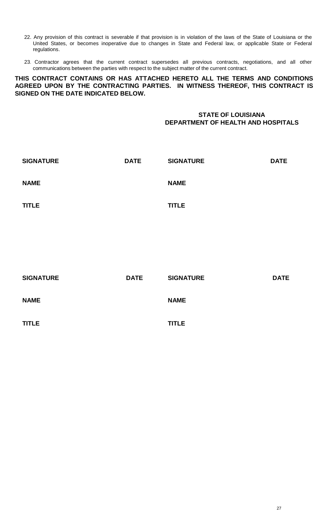- 22. Any provision of this contract is severable if that provision is in violation of the laws of the State of Louisiana or the United States, or becomes inoperative due to changes in State and Federal law, or applicable State or Federal regulations.
- 23. Contractor agrees that the current contract supersedes all previous contracts, negotiations, and all other communications between the parties with respect to the subject matter of the current contract.

**THIS CONTRACT CONTAINS OR HAS ATTACHED HERETO ALL THE TERMS AND CONDITIONS AGREED UPON BY THE CONTRACTING PARTIES. IN WITNESS THEREOF, THIS CONTRACT IS SIGNED ON THE DATE INDICATED BELOW.**

#### **STATE OF LOUISIANA DEPARTMENT OF HEALTH AND HOSPITALS**

| <b>SIGNATURE</b> | <b>DATE</b> | <b>SIGNATURE</b> | <b>DATE</b> |
|------------------|-------------|------------------|-------------|
| <b>NAME</b>      |             | <b>NAME</b>      |             |
| <b>TITLE</b>     |             | <b>TITLE</b>     |             |

| <b>SIGNATURE</b> | <b>DATE</b> | <b>SIGNATURE</b> | <b>DATE</b> |
|------------------|-------------|------------------|-------------|
| <b>NAME</b>      |             | <b>NAME</b>      |             |
| <b>TITLE</b>     |             | <b>TITLE</b>     |             |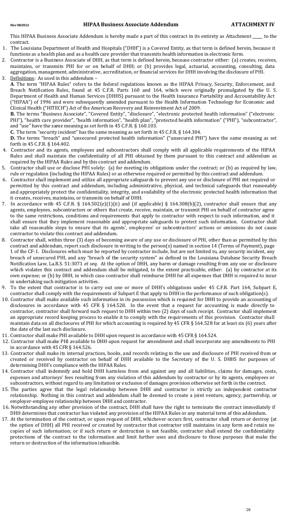This HIPAA Business Associate Addendum is hereby made a part of this contract in its entirety as Attachment \_\_\_\_ to the contract.

- 1. The Louisiana Department of Health and Hospitals ("DHH") is a Covered Entity, as that term is defined herein, because it functions as a health plan and as a health care provider that transmits health information in electronic form.
- 2. Contractor is a Business Associate of DHH, as that term is defined herein, because contractor either: (a) creates, receives, maintains, or transmits PHI for or on behalf of DHH; or (b) provides legal, actuarial, accounting, consulting, data aggregation, management, administrative, accreditation, or financial services for DHH involving the disclosure of PHI. 3. Definitions: As used in this addendum –
	- **A**. The term "HIPAA Rules" refers to the federal regulations known as the HIPAA Privacy, Security, Enforcement, and Breach Notification Rules, found at 45 C.F.R. Parts 160 and 164, which were originally promulgated by the U. S. Department of Health and Human Services (DHHS) pursuant to the Health Insurance Portability and Accountability Act ("HIPAA") of 1996 and were subsequently amended pursuant to the Health Information Technology for Economic and Clinical Health ("HITECH") Act of the American Recovery and Reinvestment Act of 2009.

**B.** The terms "Business Associate", "Covered Entity", "disclosure", "electronic protected health information" ("electronic PHI"), "health care provider", "health information", "health plan", "protected health information" ("PHI"), "subcontractor", and "use" have the same meaning as set forth in 45 C.F.R. § 160.103.

**C.** The term "security incident" has the same meaning as set forth in 45 C.F.R. § 164.304.

**D.** The terms "breach" and "unsecured protected health information" ("unsecured PHI") have the same meaning as set forth in 45 C.F.R. § 164.402.

- 4. Contractor and its agents, employees and subcontractors shall comply with all applicable requirements of the HIPAA Rules and shall maintain the confidentiality of all PHI obtained by them pursuant to this contract and addendum as required by the HIPAA Rules and by this contract and addendum.
- 5. Contractor shall use or disclose PHI solely: (a) for meeting its obligations under the contract; or (b) as required by law, rule or regulation (including the HIPAA Rules) or as otherwise required or permitted by this contract and addendum.
- 6. Contractor shall implement and utilize all appropriate safeguards to prevent any use or disclosure of PHI not required or permitted by this contract and addendum, including administrative, physical, and technical safeguards that reasonably and appropriately protect the confidentiality, integrity, and availability of the electronic protected health information that it creates, receives, maintains, or transmits on behalf of DHH.
- 7. In accordance with 45 C.F.R. § 164.502(e)(1)(ii) and (if applicable) § 164.308(b)(2), contractor shall ensure that any agents, employees, subcontractors or others that create, receive, maintain, or transmit PHI on behalf of contractor agree to the same restrictions, conditions and requirements that apply to contractor with respect to such information, and it shall ensure that they implement reasonable and appropriate safeguards to protect such information. Contractor shall take all reasonable steps to ensure that its agents', employees' or subcontractors' actions or omissions do not cause contractor to violate this contract and addendum.
- 8. Contractor shall, within three (3) days of becoming aware of any use or disclosure of PHI, other than as permitted by this contract and addendum, report such disclosure in writing to the person(s) named in section 14 (Terms of Payment), page 1 of the CF-1. Disclosures which must be reported by contractor include, but are not limited to, any security incident, any breach of unsecured PHI, and any "breach of the security system" as defined in the Louisiana Database Security Breach Notification Law, La.R.S. 51:3071 *et seq*. At the option of DHH, any harm or damage resulting from any use or disclosure which violates this contract and addendum shall be mitigated, to the extent practicable, either: (a) by contractor at its own expense; or (b) by DHH, in which case contractor shall reimburse DHH for all expenses that DHH is required to incur in undertaking such mitigation activities.
- 9. To the extent that contractor is to carry out one or more of DHH's obligations under 45 C.F.R. Part 164, Subpart E, contractor shall comply with the requirements of Subpart E that apply to DHH in the performance of such obligation(s).
- 10. Contractor shall make available such information in its possession which is required for DHH to provide an accounting of disclosures in accordance with 45 CFR § 164.528. In the event that a request for accounting is made directly to contractor, contractor shall forward such request to DHH within two (2) days of such receipt. Contractor shall implement an appropriate record keeping process to enable it to comply with the requirements of this provision. Contractor shall maintain data on all disclosures of PHI for which accounting is required by 45 CFR § 164.528 for at least six (6) years after the date of the last such disclosure.
- 11. Contractor shall make PHI available to DHH upon request in accordance with 45 CFR § 164.524.
- 12. Contractor shall make PHI available to DHH upon request for amendment and shall incorporate any amendments to PHI in accordance with 45 CFR § 164.526.
- 13. Contractor shall make its internal practices, books, and records relating to the use and disclosure of PHI received from or created or received by contractor on behalf of DHH available to the Secretary of the U. S. DHHS for purposes of determining DHH's compliance with the HIPAA Rules.
- 14. Contractor shall indemnify and hold DHH harmless from and against any and all liabilities, claims for damages, costs, expenses and attorneys' fees resulting from any violation of this addendum by contractor or by its agents, employees or subcontractors, without regard to any limitation or exclusion of damages provision otherwise set forth in the contract.
- 15. The parties agree that the legal relationship between DHH and contractor is strictly an independent contractor relationship. Nothing in this contract and addendum shall be deemed to create a joint venture, agency, partnership, or employer-employee relationship between DHH and contractor.
- 16. Notwithstanding any other provision of the contract, DHH shall have the right to terminate the contract immediately if DHH determines that contractor has violated any provision of the HIPAA Rules or any material term of this addendum.
- 17. At the termination of the contract, or upon request of DHH, whichever occurs first, contractor shall return or destroy (at the option of DHH) all PHI received or created by contractor that contractor still maintains in any form and retain no copies of such information; or if such return or destruction is not feasible, contractor shall extend the confidentiality protections of the contract to the information and limit further uses and disclosure to those purposes that make the return or destruction of the information infeasible.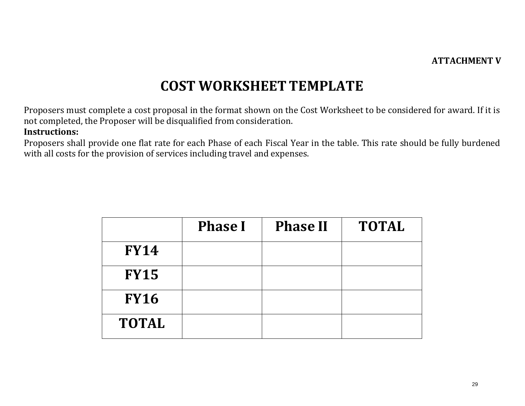#### **ATTACHMENT V**

### **COST WORKSHEET TEMPLATE**

Proposers must complete a cost proposal in the format shown on the Cost Worksheet to be considered for award. If it is not completed, the Proposer will be disqualified from consideration.

#### **Instructions:**

Proposers shall provide one flat rate for each Phase of each Fiscal Year in the table. This rate should be fully burdened with all costs for the provision of services including travel and expenses.

|              | <b>Phase I</b> | <b>Phase II</b> | <b>TOTAL</b> |
|--------------|----------------|-----------------|--------------|
| <b>FY14</b>  |                |                 |              |
| <b>FY15</b>  |                |                 |              |
| <b>FY16</b>  |                |                 |              |
| <b>TOTAL</b> |                |                 |              |